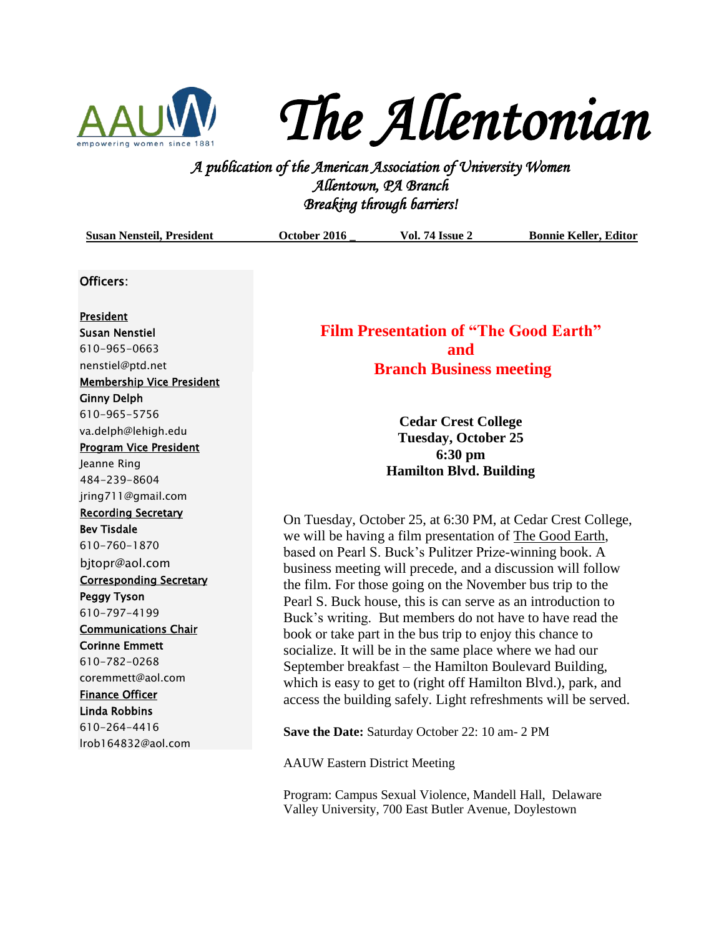

*The Allentonian* 

*A publication of the American Association of University Women Allentown, PA Branch Breaking through barriers!* 

| <b>Susan Nensteil, President</b>                                                                                                                                                                                               | October 2016                                                                                                                                                                                                                                                                                                       | <b>Vol. 74 Issue 2</b>                          | <b>Bonnie Keller, Editor</b> |
|--------------------------------------------------------------------------------------------------------------------------------------------------------------------------------------------------------------------------------|--------------------------------------------------------------------------------------------------------------------------------------------------------------------------------------------------------------------------------------------------------------------------------------------------------------------|-------------------------------------------------|------------------------------|
| Officers:                                                                                                                                                                                                                      |                                                                                                                                                                                                                                                                                                                    |                                                 |                              |
| <b>President</b><br><b>Susan Nenstiel</b><br>610-965-0663<br>nenstiel@ptd.net<br><b>Membership Vice President</b><br><b>Ginny Delph</b><br>610-965-5756<br>va.delph@lehigh.edu<br><b>Program Vice President</b><br>Jeanne Ring | <b>Film Presentation of "The Good Earth"</b><br>and<br><b>Branch Business meeting</b><br><b>Cedar Crest College</b><br><b>Tuesday, October 25</b><br>6:30 pm<br><b>Hamilton Blvd. Building</b>                                                                                                                     |                                                 |                              |
| 484-239-8604<br>jring711@gmail.com<br><b>Recording Secretary</b><br><b>Bev Tisdale</b>                                                                                                                                         | On Tuesday, October 25, at 6:30 PM, at Cedar Crest College,                                                                                                                                                                                                                                                        |                                                 |                              |
| 610-760-1870<br>bjtopr@aol.com<br><b>Corresponding Secretary</b>                                                                                                                                                               | we will be having a film presentation of The Good Earth,<br>based on Pearl S. Buck's Pulitzer Prize-winning book. A<br>business meeting will precede, and a discussion will follow                                                                                                                                 |                                                 |                              |
| <b>Peggy Tyson</b><br>610-797-4199<br><b>Communications Chair</b>                                                                                                                                                              | the film. For those going on the November bus trip to the<br>Pearl S. Buck house, this is can serve as an introduction to<br>Buck's writing. But members do not have to have read the                                                                                                                              |                                                 |                              |
| <b>Corinne Emmett</b><br>610-782-0268<br>coremmett@aol.com<br><b>Finance Officer</b><br><b>Linda Robbins</b>                                                                                                                   | book or take part in the bus trip to enjoy this chance to<br>socialize. It will be in the same place where we had our<br>September breakfast – the Hamilton Boulevard Building,<br>which is easy to get to (right off Hamilton Blvd.), park, and<br>access the building safely. Light refreshments will be served. |                                                 |                              |
| 610-264-4416<br>Irob164832@aol.com                                                                                                                                                                                             |                                                                                                                                                                                                                                                                                                                    | Save the Date: Saturday October 22: 10 am- 2 PM |                              |

AAUW Eastern District Meeting

Program: Campus Sexual Violence, Mandell Hall, Delaware Valley University, 700 East Butler Avenue, Doylestown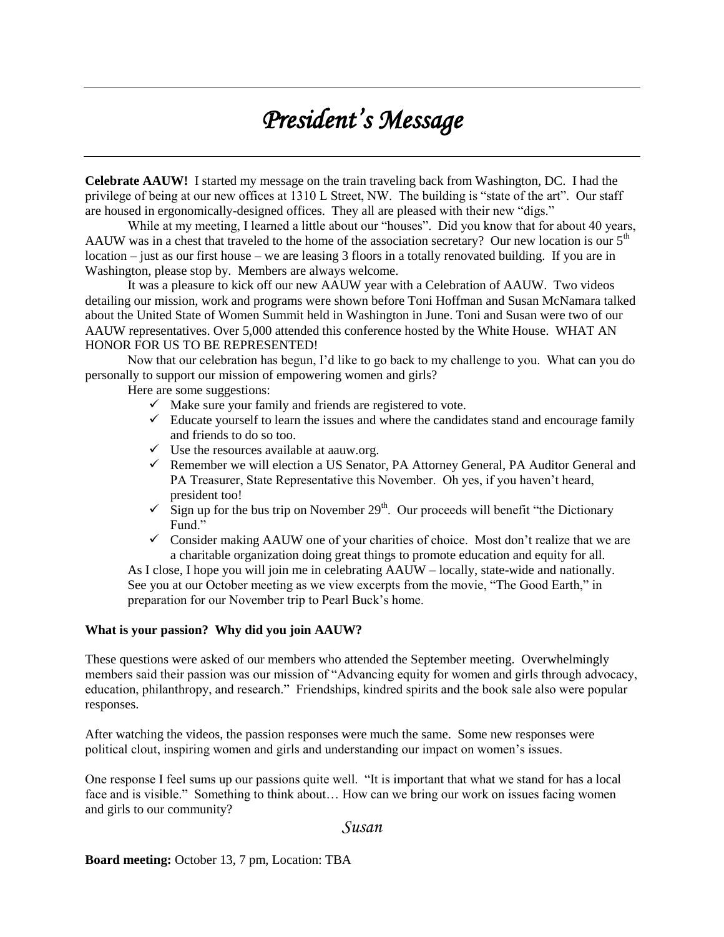## *President's Message*

**Celebrate AAUW!** I started my message on the train traveling back from Washington, DC. I had the privilege of being at our new offices at 1310 L Street, NW. The building is "state of the art". Our staff are housed in ergonomically-designed offices. They all are pleased with their new "digs."

While at my meeting, I learned a little about our "houses". Did you know that for about 40 years, AAUW was in a chest that traveled to the home of the association secretary? Our new location is our  $5<sup>th</sup>$ location – just as our first house – we are leasing 3 floors in a totally renovated building. If you are in Washington, please stop by. Members are always welcome.

It was a pleasure to kick off our new AAUW year with a Celebration of AAUW. Two videos detailing our mission, work and programs were shown before Toni Hoffman and Susan McNamara talked about the United State of Women Summit held in Washington in June. Toni and Susan were two of our AAUW representatives. Over 5,000 attended this conference hosted by the White House. WHAT AN HONOR FOR US TO BE REPRESENTED!

Now that our celebration has begun, I'd like to go back to my challenge to you. What can you do personally to support our mission of empowering women and girls?

Here are some suggestions:

- $\checkmark$  Make sure your family and friends are registered to vote.
- $\checkmark$  Educate yourself to learn the issues and where the candidates stand and encourage family and friends to do so too.
- $\checkmark$  Use the resources available at aauw.org.
- $\checkmark$  Remember we will election a US Senator, PA Attorney General, PA Auditor General and PA Treasurer, State Representative this November. Oh yes, if you haven't heard, president too!
- $\checkmark$  Sign up for the bus trip on November 29<sup>th</sup>. Our proceeds will benefit "the Dictionary" Fund."
- $\checkmark$  Consider making AAUW one of your charities of choice. Most don't realize that we are a charitable organization doing great things to promote education and equity for all.

As I close, I hope you will join me in celebrating AAUW – locally, state-wide and nationally. See you at our October meeting as we view excerpts from the movie, "The Good Earth," in preparation for our November trip to Pearl Buck's home.

#### **What is your passion? Why did you join AAUW?**

These questions were asked of our members who attended the September meeting. Overwhelmingly members said their passion was our mission of "Advancing equity for women and girls through advocacy, education, philanthropy, and research." Friendships, kindred spirits and the book sale also were popular responses.

After watching the videos, the passion responses were much the same. Some new responses were political clout, inspiring women and girls and understanding our impact on women's issues.

One response I feel sums up our passions quite well. "It is important that what we stand for has a local face and is visible." Something to think about… How can we bring our work on issues facing women and girls to our community?

### *Susan*

**Board meeting:** October 13, 7 pm, Location: TBA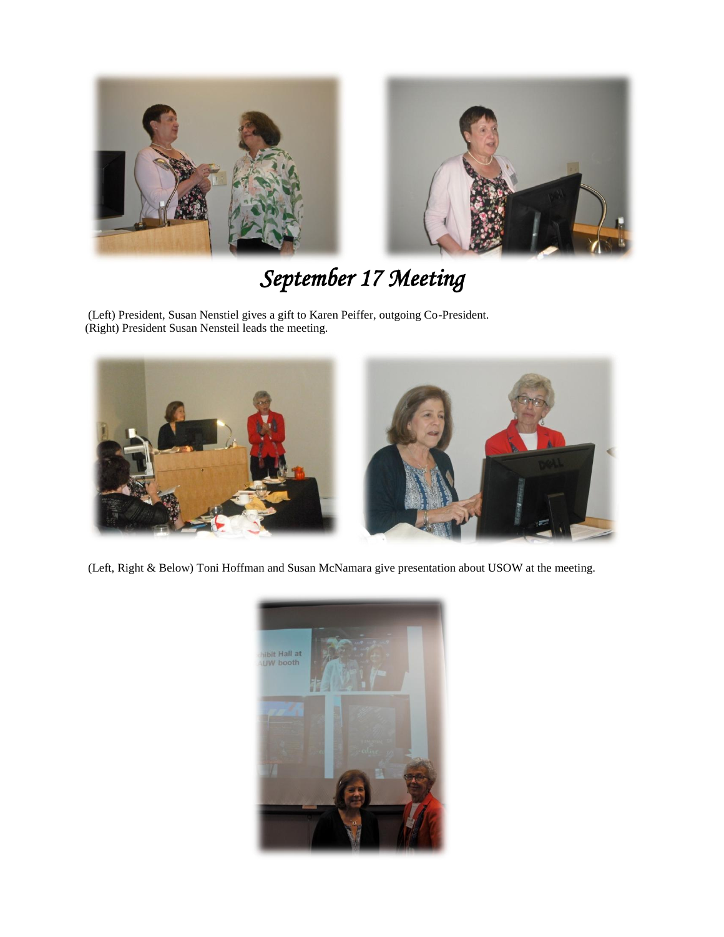



# *September 17 Meeting*

(Left) President, Susan Nenstiel gives a gift to Karen Peiffer, outgoing Co-President. (Right) President Susan Nensteil leads the meeting.



(Left, Right & Below) Toni Hoffman and Susan McNamara give presentation about USOW at the meeting.

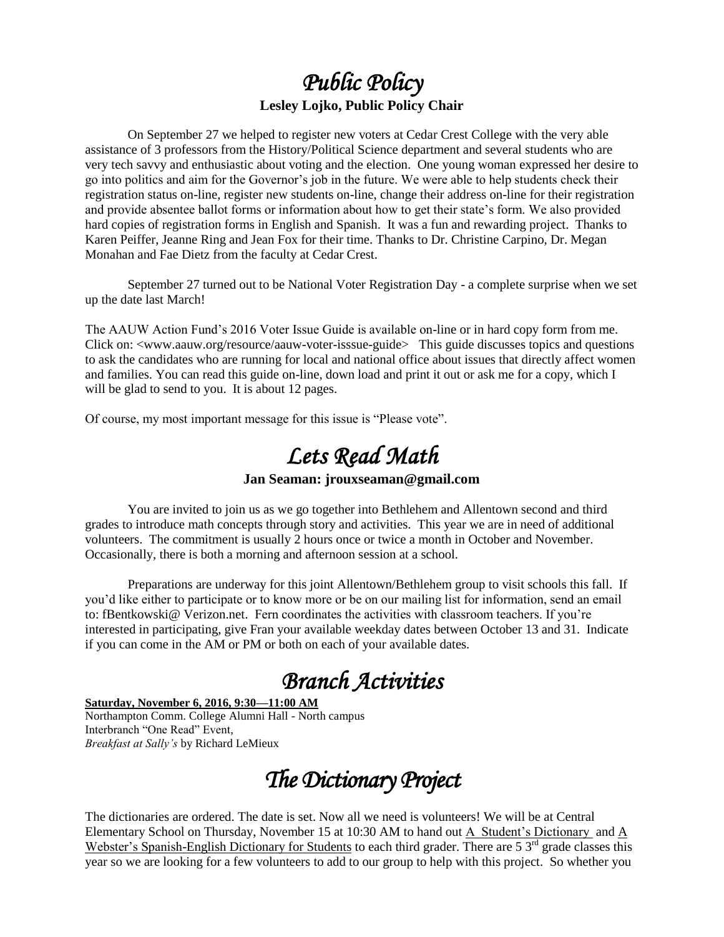### *Public Policy*  **Lesley Lojko, Public Policy Chair**

On September 27 we helped to register new voters at Cedar Crest College with the very able assistance of 3 professors from the History/Political Science department and several students who are very tech savvy and enthusiastic about voting and the election. One young woman expressed her desire to go into politics and aim for the Governor's job in the future. We were able to help students check their registration status on-line, register new students on-line, change their address on-line for their registration and provide absentee ballot forms or information about how to get their state's form. We also provided hard copies of registration forms in English and Spanish. It was a fun and rewarding project. Thanks to Karen Peiffer, Jeanne Ring and Jean Fox for their time. Thanks to Dr. Christine Carpino, Dr. Megan Monahan and Fae Dietz from the faculty at Cedar Crest.

September 27 turned out to be National Voter Registration Day - a complete surprise when we set up the date last March!

The AAUW Action Fund's 2016 Voter Issue Guide is available on-line or in hard copy form from me. Click on: <www.aauw.org/resource/aauw-voter-isssue-guide> This guide discusses topics and questions to ask the candidates who are running for local and national office about issues that directly affect women and families. You can read this guide on-line, down load and print it out or ask me for a copy, which I will be glad to send to you. It is about 12 pages.

Of course, my most important message for this issue is "Please vote".

## *Lets Read Math*

#### **Jan Seaman: jrouxseaman@gmail.com**

You are invited to join us as we go together into Bethlehem and Allentown second and third grades to introduce math concepts through story and activities. This year we are in need of additional volunteers. The commitment is usually 2 hours once or twice a month in October and November. Occasionally, there is both a morning and afternoon session at a school.

Preparations are underway for this joint Allentown/Bethlehem group to visit schools this fall. If you'd like either to participate or to know more or be on our mailing list for information, send an email to: fBentkowski@ Verizon.net. Fern coordinates the activities with classroom teachers. If you're interested in participating, give Fran your available weekday dates between October 13 and 31. Indicate if you can come in the AM or PM or both on each of your available dates.

## *Branch Activities*

#### **Saturday, November 6, 2016, 9:30—11:00 AM**

Northampton Comm. College Alumni Hall - North campus Interbranch "One Read" Event, *Breakfast at Sally's* by Richard LeMieux

*The Dictionary Project* 

The dictionaries are ordered. The date is set. Now all we need is volunteers! We will be at Central Elementary School on Thursday, November 15 at 10:30 AM to hand out A Student's Dictionary and A Webster's Spanish-English Dictionary for Students to each third grader. There are  $5.3<sup>rd</sup>$  grade classes this year so we are looking for a few volunteers to add to our group to help with this project. So whether you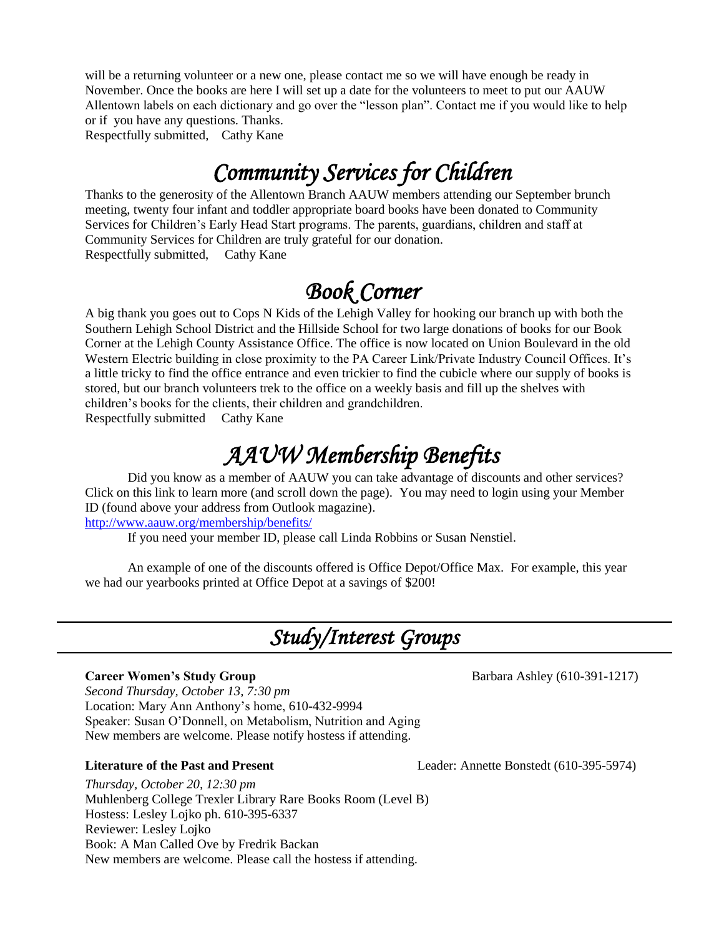will be a returning volunteer or a new one, please contact me so we will have enough be ready in November. Once the books are here I will set up a date for the volunteers to meet to put our AAUW Allentown labels on each dictionary and go over the "lesson plan". Contact me if you would like to help or if you have any questions. Thanks.

Respectfully submitted, Cathy Kane

## *Community Services for Children*

Thanks to the generosity of the Allentown Branch AAUW members attending our September brunch meeting, twenty four infant and toddler appropriate board books have been donated to Community Services for Children's Early Head Start programs. The parents, guardians, children and staff at Community Services for Children are truly grateful for our donation. Respectfully submitted, Cathy Kane

## *Book Corner*

A big thank you goes out to Cops N Kids of the Lehigh Valley for hooking our branch up with both the Southern Lehigh School District and the Hillside School for two large donations of books for our Book Corner at the Lehigh County Assistance Office. The office is now located on Union Boulevard in the old Western Electric building in close proximity to the PA Career Link/Private Industry Council Offices. It's a little tricky to find the office entrance and even trickier to find the cubicle where our supply of books is stored, but our branch volunteers trek to the office on a weekly basis and fill up the shelves with children's books for the clients, their children and grandchildren.

Respectfully submitted Cathy Kane

## *AAUW Membership Benefits*

Did you know as a member of AAUW you can take advantage of discounts and other services? Click on this link to learn more (and scroll down the page). You may need to login using your Member ID (found above your address from Outlook magazine).

<http://www.aauw.org/membership/benefits/>

If you need your member ID, please call Linda Robbins or Susan Nenstiel.

An example of one of the discounts offered is Office Depot/Office Max. For example, this year we had our yearbooks printed at Office Depot at a savings of \$200!

## *Study/Interest Groups*

### **Career Women's Study Group Barbara Ashley (610-391-1217)**

*Second Thursday, October 13, 7:30 pm* Location: Mary Ann Anthony's home, 610-432-9994 Speaker: Susan O'Donnell, on Metabolism, Nutrition and Aging New members are welcome. Please notify hostess if attending.

#### **Literature of the Past and Present** Leader: Annette Bonstedt (610-395-5974)

*Thursday, October 20, 12:30 pm* Muhlenberg College Trexler Library Rare Books Room (Level B) Hostess: Lesley Lojko ph. 610-395-6337 Reviewer: Lesley Lojko Book: A Man Called Ove by Fredrik Backan New members are welcome. Please call the hostess if attending.